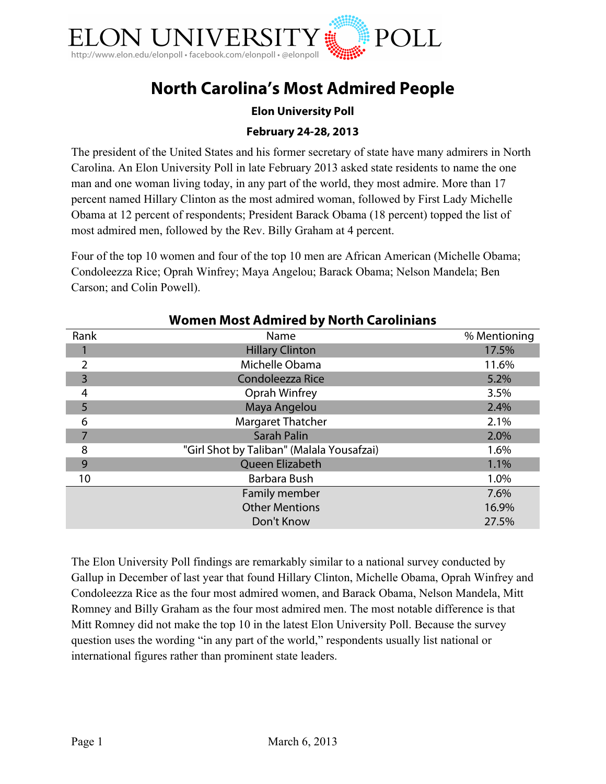

# **North Carolina's Most Admired People**

## **Elon University Poll**

## **February 24-28, 2013**

The president of the United States and his former secretary of state have many admirers in North Carolina. An Elon University Poll in late February 2013 asked state residents to name the one man and one woman living today, in any part of the world, they most admire. More than 17 percent named Hillary Clinton as the most admired woman, followed by First Lady Michelle Obama at 12 percent of respondents; President Barack Obama (18 percent) topped the list of most admired men, followed by the Rev. Billy Graham at 4 percent.

Four of the top 10 women and four of the top 10 men are African American (Michelle Obama; Condoleezza Rice; Oprah Winfrey; Maya Angelou; Barack Obama; Nelson Mandela; Ben Carson; and Colin Powell).

| <u>WOMEN MOST AUMINIEU DY NORM CARDINIANS</u> |                                           |              |  |
|-----------------------------------------------|-------------------------------------------|--------------|--|
| Rank                                          | Name                                      | % Mentioning |  |
|                                               | <b>Hillary Clinton</b>                    | 17.5%        |  |
| 2                                             | Michelle Obama                            | 11.6%        |  |
| 3                                             | Condoleezza Rice                          | 5.2%         |  |
| 4                                             | Oprah Winfrey                             | 3.5%         |  |
| 5                                             | Maya Angelou                              | 2.4%         |  |
| 6                                             | <b>Margaret Thatcher</b>                  | 2.1%         |  |
| 7                                             | <b>Sarah Palin</b>                        | 2.0%         |  |
| 8                                             | "Girl Shot by Taliban" (Malala Yousafzai) | 1.6%         |  |
| 9                                             | Queen Elizabeth                           | 1.1%         |  |
| 10                                            | Barbara Bush                              | 1.0%         |  |
|                                               | Family member                             | 7.6%         |  |
|                                               | <b>Other Mentions</b>                     | 16.9%        |  |
|                                               | Don't Know                                | 27.5%        |  |

## **Women Most Admired by North Carolinians**

The Elon University Poll findings are remarkably similar to a national survey conducted by Gallup in December of last year that found Hillary Clinton, Michelle Obama, Oprah Winfrey and Condoleezza Rice as the four most admired women, and Barack Obama, Nelson Mandela, Mitt Romney and Billy Graham as the four most admired men. The most notable difference is that Mitt Romney did not make the top 10 in the latest Elon University Poll. Because the survey question uses the wording "in any part of the world," respondents usually list national or international figures rather than prominent state leaders.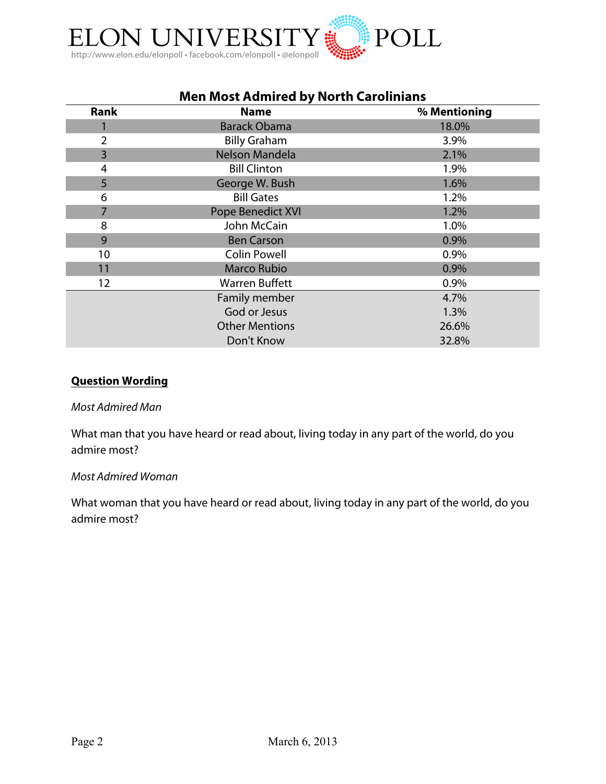

| Men Most Admired by North Carolinians |                       |              |
|---------------------------------------|-----------------------|--------------|
| Rank                                  | <b>Name</b>           | % Mentioning |
|                                       | <b>Barack Obama</b>   | 18.0%        |
| 2                                     | <b>Billy Graham</b>   | 3.9%         |
| $\overline{3}$                        | Nelson Mandela        | 2.1%         |
| 4                                     | <b>Bill Clinton</b>   | 1.9%         |
| 5                                     | George W. Bush        | 1.6%         |
| 6                                     | <b>Bill Gates</b>     | 1.2%         |
| 7                                     | Pope Benedict XVI     | 1.2%         |
| 8                                     | John McCain           | 1.0%         |
| 9                                     | <b>Ben Carson</b>     | 0.9%         |
| 10                                    | <b>Colin Powell</b>   | 0.9%         |
| 11                                    | <b>Marco Rubio</b>    | 0.9%         |
| 12                                    | <b>Warren Buffett</b> | 0.9%         |
|                                       | Family member         | 4.7%         |
|                                       | God or Jesus          | 1.3%         |
|                                       | <b>Other Mentions</b> | 26.6%        |
|                                       | Don't Know            | 32.8%        |

## **Men Most Admired by North Carolinians**

## **Question Wording**

#### *Most Admired Man*

What man that you have heard or read about, living today in any part of the world, do you admire most?

#### *Most Admired Woman*

What woman that you have heard or read about, living today in any part of the world, do you admire most?